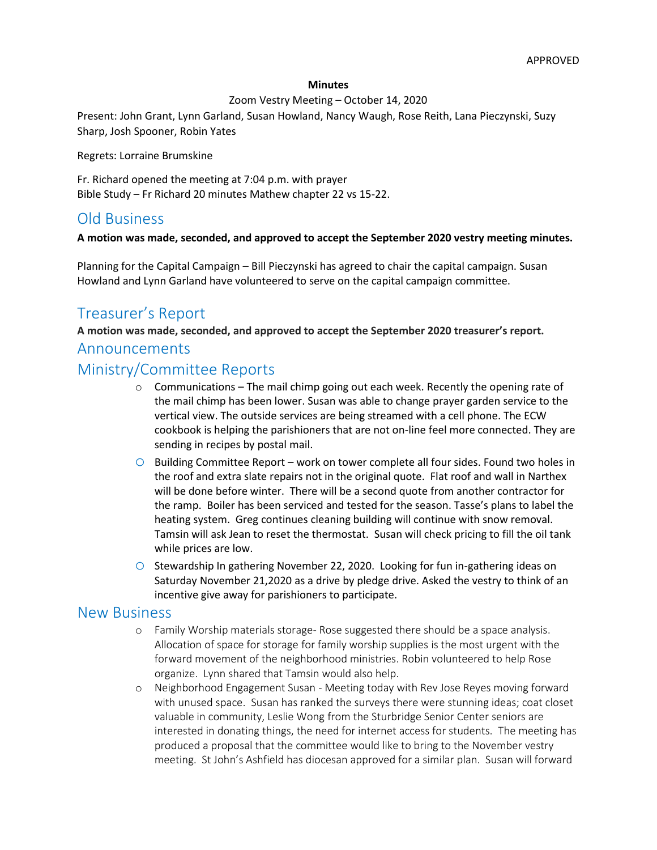#### **Minutes**

### Zoom Vestry Meeting – October 14, 2020

Present: John Grant, Lynn Garland, Susan Howland, Nancy Waugh, Rose Reith, Lana Pieczynski, Suzy Sharp, Josh Spooner, Robin Yates

Regrets: Lorraine Brumskine

Fr. Richard opened the meeting at 7:04 p.m. with prayer Bible Study – Fr Richard 20 minutes Mathew chapter 22 vs 15-22.

## Old Business

### **A motion was made, seconded, and approved to accept the September 2020 vestry meeting minutes.**

Planning for the Capital Campaign – Bill Pieczynski has agreed to chair the capital campaign. Susan Howland and Lynn Garland have volunteered to serve on the capital campaign committee.

# Treasurer's Report

**A motion was made, seconded, and approved to accept the September 2020 treasurer's report.**

### Announcements

### Ministry/Committee Reports

- $\circ$  Communications The mail chimp going out each week. Recently the opening rate of the mail chimp has been lower. Susan was able to change prayer garden service to the vertical view. The outside services are being streamed with a cell phone. The ECW cookbook is helping the parishioners that are not on-line feel more connected. They are sending in recipes by postal mail.
- $\circ$  Building Committee Report work on tower complete all four sides. Found two holes in the roof and extra slate repairs not in the original quote. Flat roof and wall in Narthex will be done before winter. There will be a second quote from another contractor for the ramp. Boiler has been serviced and tested for the season. Tasse's plans to label the heating system. Greg continues cleaning building will continue with snow removal. Tamsin will ask Jean to reset the thermostat. Susan will check pricing to fill the oil tank while prices are low.
- $\circ$  Stewardship In gathering November 22, 2020. Looking for fun in-gathering ideas on Saturday November 21,2020 as a drive by pledge drive. Asked the vestry to think of an incentive give away for parishioners to participate.

## New Business

- o Family Worship materials storage- Rose suggested there should be a space analysis. Allocation of space for storage for family worship supplies is the most urgent with the forward movement of the neighborhood ministries. Robin volunteered to help Rose organize. Lynn shared that Tamsin would also help.
- o Neighborhood Engagement Susan Meeting today with Rev Jose Reyes moving forward with unused space. Susan has ranked the surveys there were stunning ideas; coat closet valuable in community, Leslie Wong from the Sturbridge Senior Center seniors are interested in donating things, the need for internet access for students. The meeting has produced a proposal that the committee would like to bring to the November vestry meeting. St John's Ashfield has diocesan approved for a similar plan. Susan will forward